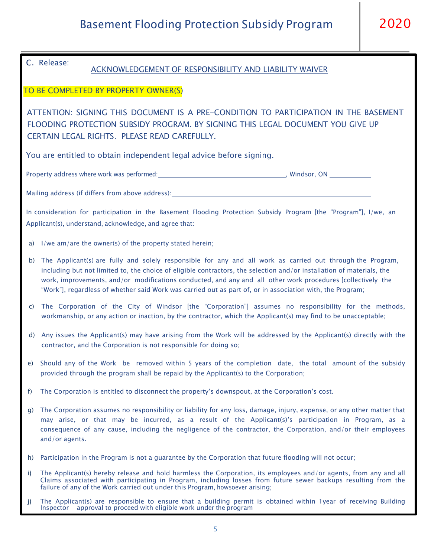## C. Release:

## ACKNOWLEDGEMENT OF RESPONSIBILITY AND LIABILITY WAIVER

## TO BE COMPLETED BY PROPERTY OWNER(S)

ATTENTION: SIGNING THIS DOCUMENT IS A PRE-CONDITION TO PARTICIPATION IN THE BASEMENT FLOODING PROTECTION SUBSIDY PROGRAM. BY SIGNING THIS LEGAL DOCUMENT YOU GIVE UP CERTAIN LEGAL RIGHTS. PLEASE READ CAREFULLY.

You are entitled to obtain independent legal advice before signing.

Property address where work was performed: The Manus Communication of the United States of the United States of Manus Communication of the United States of the United States of the United States of the United States of the

Mailing address (if differs from above address):

In consideration for participation in the Basement Flooding Protection Subsidy Program [the "Program"], I/we, an Applicant(s), understand, acknowledge, and agree that:

- a) I/we am/are the owner(s) of the property stated herein;
- b) The Applicant(s) are fully and solely responsible for any and all work as carried out through the Program, including but not limited to, the choice of eligible contractors, the selection and/or installation of materials, the work, improvements, and/or modifications conducted, and any and all other work procedures [collectively the "Work"], regardless of whether said Work was carried out as part of, or in association with, the Program;
- c) The Corporation of the City of Windsor [the "Corporation"] assumes no responsibility for the methods, workmanship, or any action or inaction, by the contractor, which the Applicant(s) may find to be unacceptable;
- d) Any issues the Applicant(s) may have arising from the Work will be addressed by the Applicant(s) directly with the contractor, and the Corporation is not responsible for doing so;
- e) Should any of the Work be removed within 5 years of the completion date, the total amount of the subsidy provided through the program shall be repaid by the Applicant(s) to the Corporation;
- f) The Corporation is entitled to disconnect the property's downspout, at the Corporation's cost.
- g) The Corporation assumes no responsibility or liability for any loss, damage, injury, expense, or any other matter that may arise, or that may be incurred, as a result of the Applicant(s)'s participation in Program, as a consequence of any cause, including the negligence of the contractor, the Corporation, and/or their employees and/or agents.
- h) Participation in the Program is not a guarantee by the Corporation that future flooding will not occur;
- i) The Applicant(s) hereby release and hold harmless the Corporation, its employees and/or agents, from any and all Claims associated with participating in Program, including losses from future sewer backups resulting from the failure of any of the Work carried out under this Program, howsoever arising;
- Page | 9 j) The Applicant(s) are responsible to ensure that a building permit is obtained within 1year of receiving Building Inspector approval to proceed with eligible work under the program